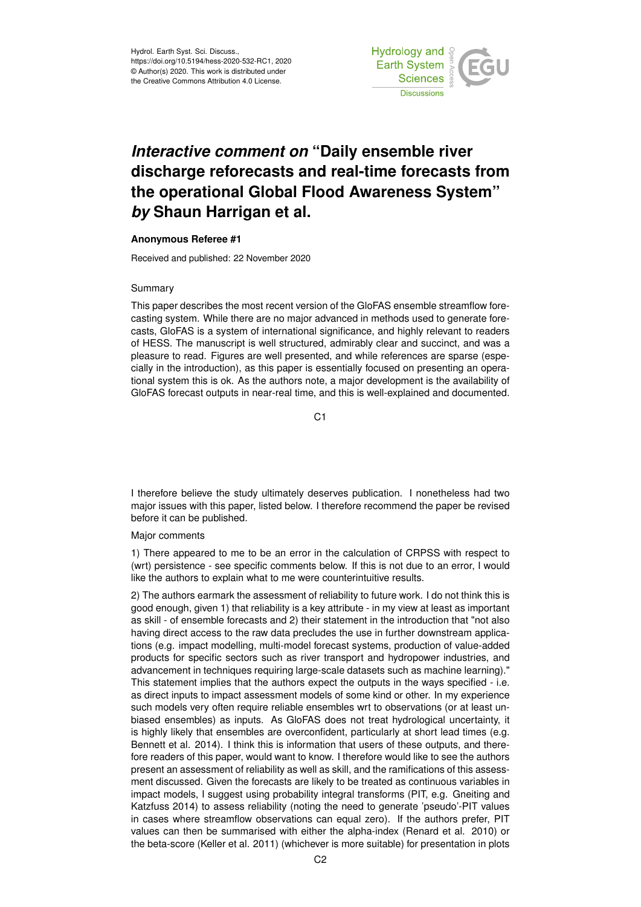

# *Interactive comment on* **"Daily ensemble river discharge reforecasts and real-time forecasts from the operational Global Flood Awareness System"** *by* **Shaun Harrigan et al.**

### **Anonymous Referee #1**

Received and published: 22 November 2020

#### Summary

This paper describes the most recent version of the GloFAS ensemble streamflow forecasting system. While there are no major advanced in methods used to generate forecasts, GloFAS is a system of international significance, and highly relevant to readers of HESS. The manuscript is well structured, admirably clear and succinct, and was a pleasure to read. Figures are well presented, and while references are sparse (especially in the introduction), as this paper is essentially focused on presenting an operational system this is ok. As the authors note, a major development is the availability of GloFAS forecast outputs in near-real time, and this is well-explained and documented.

 $C<sub>1</sub>$ 

I therefore believe the study ultimately deserves publication. I nonetheless had two major issues with this paper, listed below. I therefore recommend the paper be revised before it can be published.

#### Major comments

1) There appeared to me to be an error in the calculation of CRPSS with respect to (wrt) persistence - see specific comments below. If this is not due to an error, I would like the authors to explain what to me were counterintuitive results.

2) The authors earmark the assessment of reliability to future work. I do not think this is good enough, given 1) that reliability is a key attribute - in my view at least as important as skill - of ensemble forecasts and 2) their statement in the introduction that "not also having direct access to the raw data precludes the use in further downstream applications (e.g. impact modelling, multi-model forecast systems, production of value-added products for specific sectors such as river transport and hydropower industries, and advancement in techniques requiring large-scale datasets such as machine learning)." This statement implies that the authors expect the outputs in the ways specified - i.e. as direct inputs to impact assessment models of some kind or other. In my experience such models very often require reliable ensembles wrt to observations (or at least unbiased ensembles) as inputs. As GloFAS does not treat hydrological uncertainty, it is highly likely that ensembles are overconfident, particularly at short lead times (e.g. Bennett et al. 2014). I think this is information that users of these outputs, and therefore readers of this paper, would want to know. I therefore would like to see the authors present an assessment of reliability as well as skill, and the ramifications of this assessment discussed. Given the forecasts are likely to be treated as continuous variables in impact models, I suggest using probability integral transforms (PIT, e.g. Gneiting and Katzfuss 2014) to assess reliability (noting the need to generate 'pseudo'-PIT values in cases where streamflow observations can equal zero). If the authors prefer, PIT values can then be summarised with either the alpha-index (Renard et al. 2010) or the beta-score (Keller et al. 2011) (whichever is more suitable) for presentation in plots